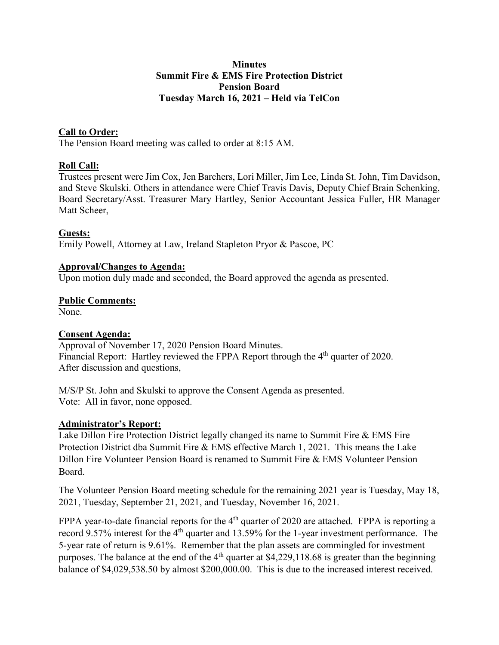### **Minutes Summit Fire & EMS Fire Protection District Pension Board Tuesday March 16, 2021 – Held via TelCon**

## **Call to Order:**

The Pension Board meeting was called to order at 8:15 AM.

### **Roll Call:**

Trustees present were Jim Cox, Jen Barchers, Lori Miller, Jim Lee, Linda St. John, Tim Davidson, and Steve Skulski. Others in attendance were Chief Travis Davis, Deputy Chief Brain Schenking, Board Secretary/Asst. Treasurer Mary Hartley, Senior Accountant Jessica Fuller, HR Manager Matt Scheer,

#### **Guests:**

Emily Powell, Attorney at Law, Ireland Stapleton Pryor & Pascoe, PC

#### **Approval/Changes to Agenda:**

Upon motion duly made and seconded, the Board approved the agenda as presented.

#### **Public Comments:**

None.

#### **Consent Agenda:**

Approval of November 17, 2020 Pension Board Minutes. Financial Report: Hartley reviewed the FPPA Report through the 4<sup>th</sup> quarter of 2020. After discussion and questions,

M/S/P St. John and Skulski to approve the Consent Agenda as presented. Vote: All in favor, none opposed.

#### **Administrator's Report:**

Lake Dillon Fire Protection District legally changed its name to Summit Fire & EMS Fire Protection District dba Summit Fire & EMS effective March 1, 2021. This means the Lake Dillon Fire Volunteer Pension Board is renamed to Summit Fire & EMS Volunteer Pension Board.

The Volunteer Pension Board meeting schedule for the remaining 2021 year is Tuesday, May 18, 2021, Tuesday, September 21, 2021, and Tuesday, November 16, 2021.

FPPA year-to-date financial reports for the 4<sup>th</sup> quarter of 2020 are attached. FPPA is reporting a record 9.57% interest for the 4<sup>th</sup> quarter and 13.59% for the 1-year investment performance. The 5-year rate of return is 9.61%. Remember that the plan assets are commingled for investment purposes. The balance at the end of the  $4<sup>th</sup>$  quarter at \$4,229,118.68 is greater than the beginning balance of \$4,029,538.50 by almost \$200,000.00. This is due to the increased interest received.